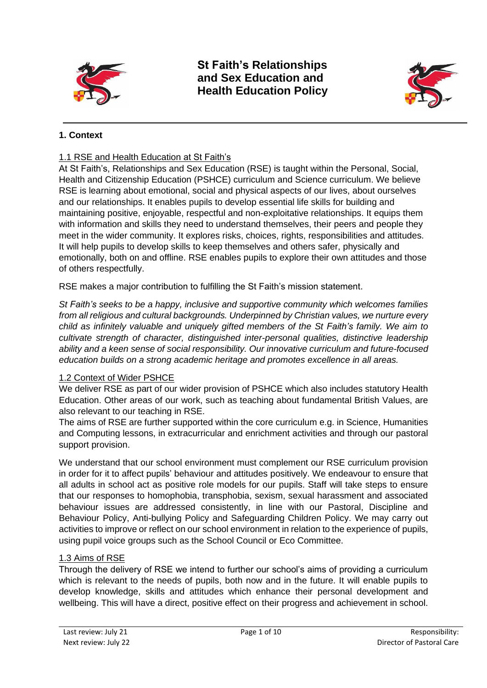

**St Faith's Relationships and Sex Education and Health Education Policy**



# **1. Context**

## 1.1 RSE and Health Education at St Faith's

At St Faith's, Relationships and Sex Education (RSE) is taught within the Personal, Social, Health and Citizenship Education (PSHCE) curriculum and Science curriculum. We believe RSE is learning about emotional, social and physical aspects of our lives, about ourselves and our relationships. It enables pupils to develop essential life skills for building and maintaining positive, enjoyable, respectful and non-exploitative relationships. It equips them with information and skills they need to understand themselves, their peers and people they meet in the wider community. It explores risks, choices, rights, responsibilities and attitudes. It will help pupils to develop skills to keep themselves and others safer, physically and emotionally, both on and offline. RSE enables pupils to explore their own attitudes and those of others respectfully.

RSE makes a major contribution to fulfilling the St Faith's mission statement.

*St Faith's seeks to be a happy, inclusive and supportive community which welcomes families from all religious and cultural backgrounds. Underpinned by Christian values, we nurture every child as infinitely valuable and uniquely gifted members of the St Faith's family. We aim to cultivate strength of character, distinguished inter-personal qualities, distinctive leadership ability and a keen sense of social responsibility. Our innovative curriculum and future-focused education builds on a strong academic heritage and promotes excellence in all areas.*

#### 1.2 Context of Wider PSHCE

We deliver RSE as part of our wider provision of PSHCE which also includes statutory Health Education. Other areas of our work, such as teaching about fundamental British Values, are also relevant to our teaching in RSE.

The aims of RSE are further supported within the core curriculum e.g. in Science, Humanities and Computing lessons, in extracurricular and enrichment activities and through our pastoral support provision.

We understand that our school environment must complement our RSE curriculum provision in order for it to affect pupils' behaviour and attitudes positively. We endeavour to ensure that all adults in school act as positive role models for our pupils. Staff will take steps to ensure that our responses to homophobia, transphobia, sexism, sexual harassment and associated behaviour issues are addressed consistently, in line with our Pastoral, Discipline and Behaviour Policy, Anti-bullying Policy and Safeguarding Children Policy. We may carry out activities to improve or reflect on our school environment in relation to the experience of pupils, using pupil voice groups such as the School Council or Eco Committee.

### 1.3 Aims of RSE

Through the delivery of RSE we intend to further our school's aims of providing a curriculum which is relevant to the needs of pupils, both now and in the future. It will enable pupils to develop knowledge, skills and attitudes which enhance their personal development and wellbeing. This will have a direct, positive effect on their progress and achievement in school.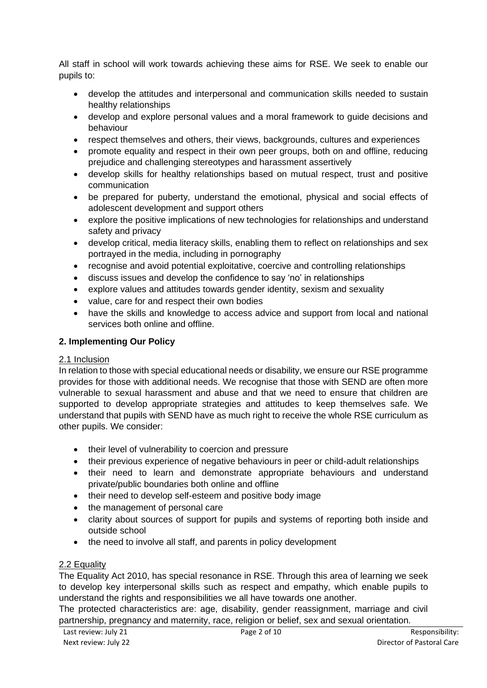All staff in school will work towards achieving these aims for RSE. We seek to enable our pupils to:

- develop the attitudes and interpersonal and communication skills needed to sustain healthy relationships
- develop and explore personal values and a moral framework to guide decisions and behaviour
- respect themselves and others, their views, backgrounds, cultures and experiences
- promote equality and respect in their own peer groups, both on and offline, reducing prejudice and challenging stereotypes and harassment assertively
- develop skills for healthy relationships based on mutual respect, trust and positive communication
- be prepared for puberty, understand the emotional, physical and social effects of adolescent development and support others
- explore the positive implications of new technologies for relationships and understand safety and privacy
- develop critical, media literacy skills, enabling them to reflect on relationships and sex portrayed in the media, including in pornography
- recognise and avoid potential exploitative, coercive and controlling relationships
- discuss issues and develop the confidence to say 'no' in relationships
- explore values and attitudes towards gender identity, sexism and sexuality
- value, care for and respect their own bodies
- have the skills and knowledge to access advice and support from local and national services both online and offline.

# **2. Implementing Our Policy**

# 2.1 Inclusion

In relation to those with special educational needs or disability, we ensure our RSE programme provides for those with additional needs. We recognise that those with SEND are often more vulnerable to sexual harassment and abuse and that we need to ensure that children are supported to develop appropriate strategies and attitudes to keep themselves safe. We understand that pupils with SEND have as much right to receive the whole RSE curriculum as other pupils. We consider:

- their level of vulnerability to coercion and pressure
- their previous experience of negative behaviours in peer or child-adult relationships
- their need to learn and demonstrate appropriate behaviours and understand private/public boundaries both online and offline
- their need to develop self-esteem and positive body image
- the management of personal care
- clarity about sources of support for pupils and systems of reporting both inside and outside school
- the need to involve all staff, and parents in policy development

# 2.2 Equality

The Equality Act 2010, has special resonance in RSE. Through this area of learning we seek to develop key interpersonal skills such as respect and empathy, which enable pupils to understand the rights and responsibilities we all have towards one another.

The protected characteristics are: age, disability, gender reassignment, marriage and civil partnership, pregnancy and maternity, race, religion or belief, sex and sexual orientation.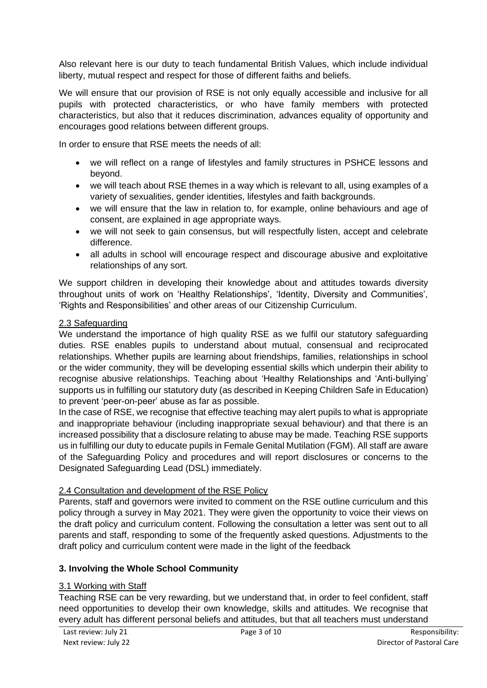Also relevant here is our duty to teach fundamental British Values, which include individual liberty, mutual respect and respect for those of different faiths and beliefs.

We will ensure that our provision of RSE is not only equally accessible and inclusive for all pupils with protected characteristics, or who have family members with protected characteristics, but also that it reduces discrimination, advances equality of opportunity and encourages good relations between different groups.

In order to ensure that RSE meets the needs of all:

- we will reflect on a range of lifestyles and family structures in PSHCE lessons and beyond.
- we will teach about RSE themes in a way which is relevant to all, using examples of a variety of sexualities, gender identities, lifestyles and faith backgrounds.
- we will ensure that the law in relation to, for example, online behaviours and age of consent, are explained in age appropriate ways.
- we will not seek to gain consensus, but will respectfully listen, accept and celebrate difference.
- all adults in school will encourage respect and discourage abusive and exploitative relationships of any sort.

We support children in developing their knowledge about and attitudes towards diversity throughout units of work on 'Healthy Relationships', 'Identity, Diversity and Communities', 'Rights and Responsibilities' and other areas of our Citizenship Curriculum.

### 2.3 Safeguarding

We understand the importance of high quality RSE as we fulfil our statutory safeguarding duties. RSE enables pupils to understand about mutual, consensual and reciprocated relationships. Whether pupils are learning about friendships, families, relationships in school or the wider community, they will be developing essential skills which underpin their ability to recognise abusive relationships. Teaching about 'Healthy Relationships and 'Anti-bullying' supports us in fulfilling our statutory duty (as described in Keeping Children Safe in Education) to prevent 'peer-on-peer' abuse as far as possible.

In the case of RSE, we recognise that effective teaching may alert pupils to what is appropriate and inappropriate behaviour (including inappropriate sexual behaviour) and that there is an increased possibility that a disclosure relating to abuse may be made. Teaching RSE supports us in fulfilling our duty to educate pupils in Female Genital Mutilation (FGM). All staff are aware of the Safeguarding Policy and procedures and will report disclosures or concerns to the Designated Safeguarding Lead (DSL) immediately.

### 2.4 Consultation and development of the RSE Policy

Parents, staff and governors were invited to comment on the RSE outline curriculum and this policy through a survey in May 2021. They were given the opportunity to voice their views on the draft policy and curriculum content. Following the consultation a letter was sent out to all parents and staff, responding to some of the frequently asked questions. Adjustments to the draft policy and curriculum content were made in the light of the feedback

### **3. Involving the Whole School Community**

### 3.1 Working with Staff

Teaching RSE can be very rewarding, but we understand that, in order to feel confident, staff need opportunities to develop their own knowledge, skills and attitudes. We recognise that every adult has different personal beliefs and attitudes, but that all teachers must understand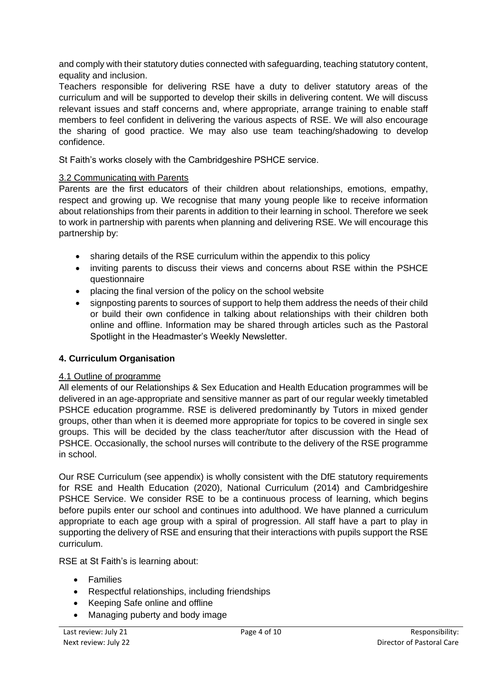and comply with their statutory duties connected with safeguarding, teaching statutory content, equality and inclusion.

Teachers responsible for delivering RSE have a duty to deliver statutory areas of the curriculum and will be supported to develop their skills in delivering content. We will discuss relevant issues and staff concerns and, where appropriate, arrange training to enable staff members to feel confident in delivering the various aspects of RSE. We will also encourage the sharing of good practice. We may also use team teaching/shadowing to develop confidence.

St Faith's works closely with the Cambridgeshire PSHCE service.

## 3.2 Communicating with Parents

Parents are the first educators of their children about relationships, emotions, empathy, respect and growing up. We recognise that many young people like to receive information about relationships from their parents in addition to their learning in school. Therefore we seek to work in partnership with parents when planning and delivering RSE. We will encourage this partnership by:

- sharing details of the RSE curriculum within the appendix to this policy
- inviting parents to discuss their views and concerns about RSE within the PSHCE questionnaire
- placing the final version of the policy on the school website
- signposting parents to sources of support to help them address the needs of their child or build their own confidence in talking about relationships with their children both online and offline. Information may be shared through articles such as the Pastoral Spotlight in the Headmaster's Weekly Newsletter.

### **4. Curriculum Organisation**

### 4.1 Outline of programme

All elements of our Relationships & Sex Education and Health Education programmes will be delivered in an age-appropriate and sensitive manner as part of our regular weekly timetabled PSHCE education programme. RSE is delivered predominantly by Tutors in mixed gender groups, other than when it is deemed more appropriate for topics to be covered in single sex groups. This will be decided by the class teacher/tutor after discussion with the Head of PSHCE. Occasionally, the school nurses will contribute to the delivery of the RSE programme in school.

Our RSE Curriculum (see appendix) is wholly consistent with the DfE statutory requirements for RSE and Health Education (2020), National Curriculum (2014) and Cambridgeshire PSHCE Service. We consider RSE to be a continuous process of learning, which begins before pupils enter our school and continues into adulthood. We have planned a curriculum appropriate to each age group with a spiral of progression. All staff have a part to play in supporting the delivery of RSE and ensuring that their interactions with pupils support the RSE curriculum.

RSE at St Faith's is learning about:

- Families
- Respectful relationships, including friendships
- Keeping Safe online and offline
- Managing puberty and body image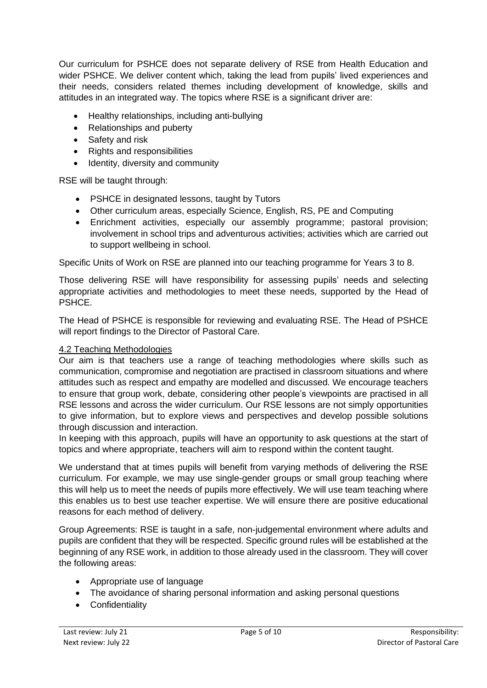Our curriculum for PSHCE does not separate delivery of RSE from Health Education and wider PSHCE. We deliver content which, taking the lead from pupils' lived experiences and their needs, considers related themes including development of knowledge, skills and attitudes in an integrated way. The topics where RSE is a significant driver are:

- Healthy relationships, including anti-bullying
- Relationships and puberty
- Safety and risk
- Rights and responsibilities
- Identity, diversity and community

RSE will be taught through:

- PSHCE in designated lessons, taught by Tutors
- Other curriculum areas, especially Science, English, RS, PE and Computing
- Enrichment activities, especially our assembly programme; pastoral provision; involvement in school trips and adventurous activities; activities which are carried out to support wellbeing in school.

Specific Units of Work on RSE are planned into our teaching programme for Years 3 to 8.

Those delivering RSE will have responsibility for assessing pupils' needs and selecting appropriate activities and methodologies to meet these needs, supported by the Head of PSHCE.

The Head of PSHCE is responsible for reviewing and evaluating RSE. The Head of PSHCE will report findings to the Director of Pastoral Care.

### 4.2 Teaching Methodologies

Our aim is that teachers use a range of teaching methodologies where skills such as communication, compromise and negotiation are practised in classroom situations and where attitudes such as respect and empathy are modelled and discussed. We encourage teachers to ensure that group work, debate, considering other people's viewpoints are practised in all RSE lessons and across the wider curriculum. Our RSE lessons are not simply opportunities to give information, but to explore views and perspectives and develop possible solutions through discussion and interaction.

In keeping with this approach, pupils will have an opportunity to ask questions at the start of topics and where appropriate, teachers will aim to respond within the content taught.

We understand that at times pupils will benefit from varying methods of delivering the RSE curriculum. For example, we may use single-gender groups or small group teaching where this will help us to meet the needs of pupils more effectively. We will use team teaching where this enables us to best use teacher expertise. We will ensure there are positive educational reasons for each method of delivery.

Group Agreements: RSE is taught in a safe, non-judgemental environment where adults and pupils are confident that they will be respected. Specific ground rules will be established at the beginning of any RSE work, in addition to those already used in the classroom. They will cover the following areas:

- Appropriate use of language
- The avoidance of sharing personal information and asking personal questions
- Confidentiality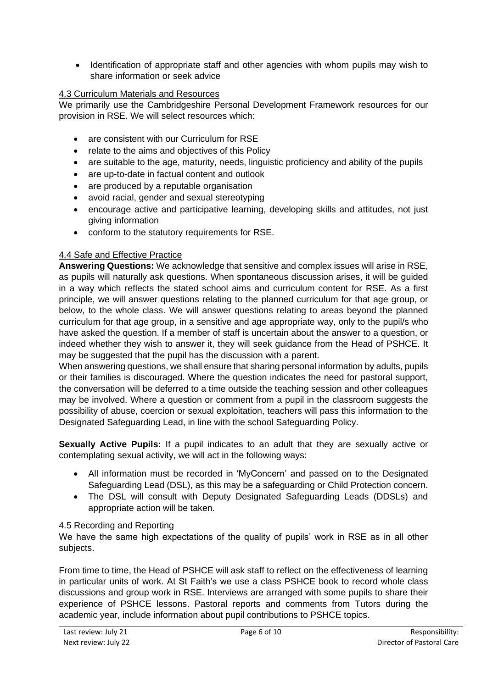• Identification of appropriate staff and other agencies with whom pupils may wish to share information or seek advice

# 4.3 Curriculum Materials and Resources

We primarily use the Cambridgeshire Personal Development Framework resources for our provision in RSE. We will select resources which:

- are consistent with our Curriculum for RSE
- relate to the aims and objectives of this Policy
- are suitable to the age, maturity, needs, linguistic proficiency and ability of the pupils
- are up-to-date in factual content and outlook
- are produced by a reputable organisation
- avoid racial, gender and sexual stereotyping
- encourage active and participative learning, developing skills and attitudes, not just giving information
- conform to the statutory requirements for RSE.

### 4.4 Safe and Effective Practice

**Answering Questions:** We acknowledge that sensitive and complex issues will arise in RSE, as pupils will naturally ask questions. When spontaneous discussion arises, it will be guided in a way which reflects the stated school aims and curriculum content for RSE. As a first principle, we will answer questions relating to the planned curriculum for that age group, or below, to the whole class. We will answer questions relating to areas beyond the planned curriculum for that age group, in a sensitive and age appropriate way, only to the pupil/s who have asked the question. If a member of staff is uncertain about the answer to a question, or indeed whether they wish to answer it, they will seek guidance from the Head of PSHCE. It may be suggested that the pupil has the discussion with a parent.

When answering questions, we shall ensure that sharing personal information by adults, pupils or their families is discouraged. Where the question indicates the need for pastoral support, the conversation will be deferred to a time outside the teaching session and other colleagues may be involved. Where a question or comment from a pupil in the classroom suggests the possibility of abuse, coercion or sexual exploitation, teachers will pass this information to the Designated Safeguarding Lead, in line with the school Safeguarding Policy.

**Sexually Active Pupils:** If a pupil indicates to an adult that they are sexually active or contemplating sexual activity, we will act in the following ways:

- All information must be recorded in 'MyConcern' and passed on to the Designated Safeguarding Lead (DSL), as this may be a safeguarding or Child Protection concern.
- The DSL will consult with Deputy Designated Safeguarding Leads (DDSLs) and appropriate action will be taken.

### 4.5 Recording and Reporting

We have the same high expectations of the quality of pupils' work in RSE as in all other subjects.

From time to time, the Head of PSHCE will ask staff to reflect on the effectiveness of learning in particular units of work. At St Faith's we use a class PSHCE book to record whole class discussions and group work in RSE. Interviews are arranged with some pupils to share their experience of PSHCE lessons. Pastoral reports and comments from Tutors during the academic year, include information about pupil contributions to PSHCE topics.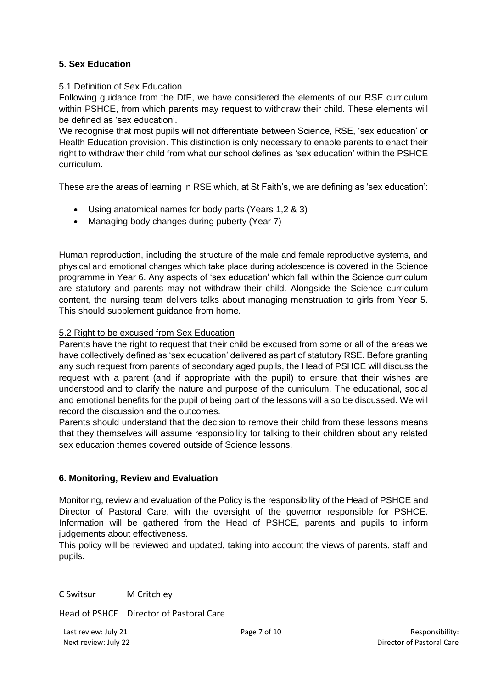## **5. Sex Education**

### 5.1 Definition of Sex Education

Following guidance from the DfE, we have considered the elements of our RSE curriculum within PSHCE, from which parents may request to withdraw their child. These elements will be defined as 'sex education'.

We recognise that most pupils will not differentiate between Science, RSE, 'sex education' or Health Education provision. This distinction is only necessary to enable parents to enact their right to withdraw their child from what our school defines as 'sex education' within the PSHCE curriculum.

These are the areas of learning in RSE which, at St Faith's, we are defining as 'sex education':

- Using anatomical names for body parts (Years 1,2 & 3)
- Managing body changes during puberty (Year 7)

Human reproduction, including the structure of the male and female reproductive systems, and physical and emotional changes which take place during adolescence is covered in the Science programme in Year 6. Any aspects of 'sex education' which fall within the Science curriculum are statutory and parents may not withdraw their child. Alongside the Science curriculum content, the nursing team delivers talks about managing menstruation to girls from Year 5. This should supplement quidance from home.

### 5.2 Right to be excused from Sex Education

Parents have the right to request that their child be excused from some or all of the areas we have collectively defined as 'sex education' delivered as part of statutory RSE. Before granting any such request from parents of secondary aged pupils, the Head of PSHCE will discuss the request with a parent (and if appropriate with the pupil) to ensure that their wishes are understood and to clarify the nature and purpose of the curriculum. The educational, social and emotional benefits for the pupil of being part of the lessons will also be discussed. We will record the discussion and the outcomes.

Parents should understand that the decision to remove their child from these lessons means that they themselves will assume responsibility for talking to their children about any related sex education themes covered outside of Science lessons.

### **6. Monitoring, Review and Evaluation**

Monitoring, review and evaluation of the Policy is the responsibility of the Head of PSHCE and Director of Pastoral Care, with the oversight of the governor responsible for PSHCE. Information will be gathered from the Head of PSHCE, parents and pupils to inform judgements about effectiveness.

This policy will be reviewed and updated, taking into account the views of parents, staff and pupils.

C Switsur M Critchley

Head of PSHCE Director of Pastoral Care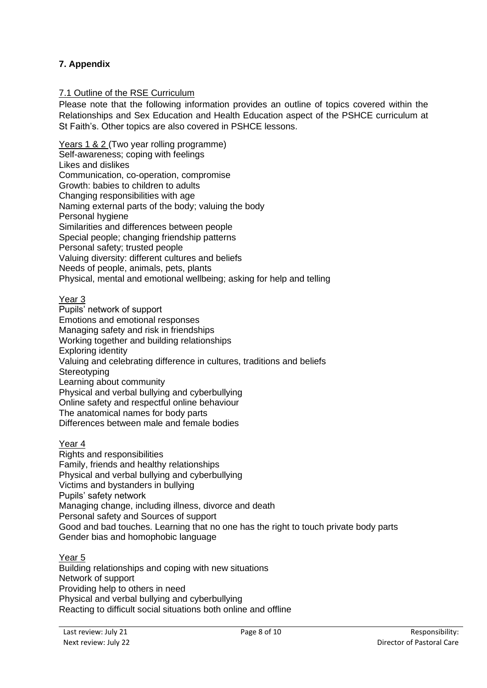# **7. Appendix**

#### 7.1 Outline of the RSE Curriculum

Please note that the following information provides an outline of topics covered within the Relationships and Sex Education and Health Education aspect of the PSHCE curriculum at St Faith's. Other topics are also covered in PSHCE lessons.

Years 1 & 2 (Two year rolling programme) Self-awareness; coping with feelings Likes and dislikes Communication, co-operation, compromise Growth: babies to children to adults Changing responsibilities with age Naming external parts of the body; valuing the body Personal hygiene Similarities and differences between people Special people; changing friendship patterns Personal safety; trusted people Valuing diversity: different cultures and beliefs Needs of people, animals, pets, plants Physical, mental and emotional wellbeing; asking for help and telling

#### Year 3

Pupils' network of support Emotions and emotional responses Managing safety and risk in friendships Working together and building relationships Exploring identity Valuing and celebrating difference in cultures, traditions and beliefs **Stereotyping** Learning about community Physical and verbal bullying and cyberbullying Online safety and respectful online behaviour The anatomical names for body parts Differences between male and female bodies

#### Year 4

Rights and responsibilities Family, friends and healthy relationships Physical and verbal bullying and cyberbullying Victims and bystanders in bullying Pupils' safety network Managing change, including illness, divorce and death Personal safety and Sources of support Good and bad touches. Learning that no one has the right to touch private body parts Gender bias and homophobic language

#### Year 5

Building relationships and coping with new situations Network of support Providing help to others in need Physical and verbal bullying and cyberbullying Reacting to difficult social situations both online and offline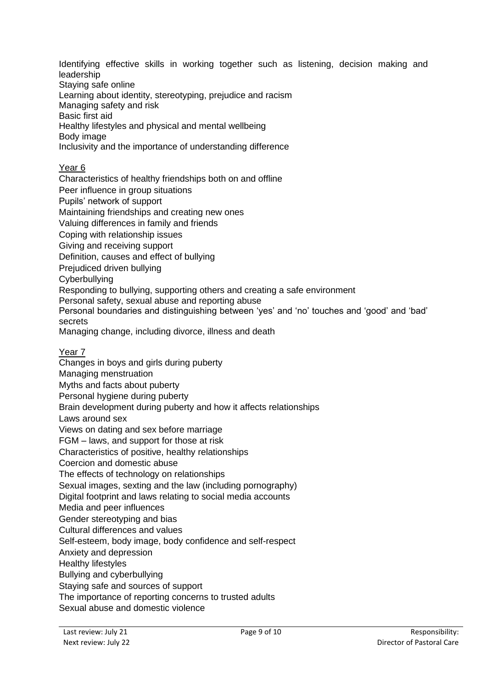Identifying effective skills in working together such as listening, decision making and leadership

Staying safe online

Learning about identity, stereotyping, prejudice and racism

Managing safety and risk

Basic first aid

Healthy lifestyles and physical and mental wellbeing

Body image

Inclusivity and the importance of understanding difference

### Year 6

Characteristics of healthy friendships both on and offline

Peer influence in group situations

Pupils' network of support

Maintaining friendships and creating new ones

Valuing differences in family and friends

Coping with relationship issues

Giving and receiving support

Definition, causes and effect of bullying

Prejudiced driven bullying

Cyberbullying

Responding to bullying, supporting others and creating a safe environment

Personal safety, sexual abuse and reporting abuse

Personal boundaries and distinguishing between 'yes' and 'no' touches and 'good' and 'bad' secrets

Managing change, including divorce, illness and death

Year 7

Changes in boys and girls during puberty Managing menstruation

Myths and facts about puberty

Personal hygiene during puberty

Brain development during puberty and how it affects relationships

Laws around sex

Views on dating and sex before marriage

FGM – laws, and support for those at risk

Characteristics of positive, healthy relationships

Coercion and domestic abuse

The effects of technology on relationships

Sexual images, sexting and the law (including pornography)

Digital footprint and laws relating to social media accounts

Media and peer influences

Gender stereotyping and bias

Cultural differences and values

Self-esteem, body image, body confidence and self-respect

Anxiety and depression

Healthy lifestyles

Bullying and cyberbullying

Staying safe and sources of support

The importance of reporting concerns to trusted adults

Sexual abuse and domestic violence